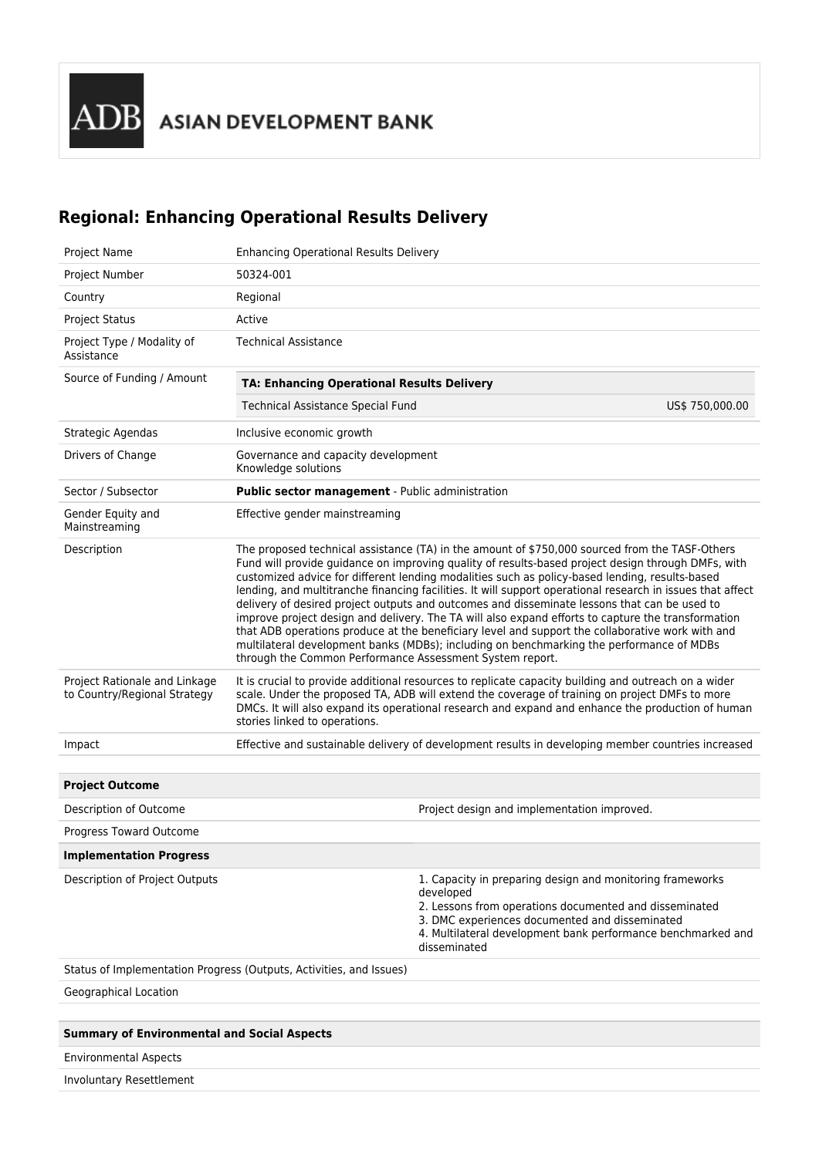## **Regional: Enhancing Operational Results Delivery**

| Project Name                                                  | <b>Enhancing Operational Results Delivery</b>                                                                                                                                                                                                                                                                                                                                                                                                                                                                                                                                                                                                                                                                                                                                                                                                                                          |                                                                                                                                                                                                                                                                    |                 |  |
|---------------------------------------------------------------|----------------------------------------------------------------------------------------------------------------------------------------------------------------------------------------------------------------------------------------------------------------------------------------------------------------------------------------------------------------------------------------------------------------------------------------------------------------------------------------------------------------------------------------------------------------------------------------------------------------------------------------------------------------------------------------------------------------------------------------------------------------------------------------------------------------------------------------------------------------------------------------|--------------------------------------------------------------------------------------------------------------------------------------------------------------------------------------------------------------------------------------------------------------------|-----------------|--|
| Project Number                                                | 50324-001                                                                                                                                                                                                                                                                                                                                                                                                                                                                                                                                                                                                                                                                                                                                                                                                                                                                              |                                                                                                                                                                                                                                                                    |                 |  |
| Country                                                       | Regional                                                                                                                                                                                                                                                                                                                                                                                                                                                                                                                                                                                                                                                                                                                                                                                                                                                                               |                                                                                                                                                                                                                                                                    |                 |  |
| <b>Project Status</b>                                         | Active                                                                                                                                                                                                                                                                                                                                                                                                                                                                                                                                                                                                                                                                                                                                                                                                                                                                                 |                                                                                                                                                                                                                                                                    |                 |  |
| Project Type / Modality of<br>Assistance                      | <b>Technical Assistance</b>                                                                                                                                                                                                                                                                                                                                                                                                                                                                                                                                                                                                                                                                                                                                                                                                                                                            |                                                                                                                                                                                                                                                                    |                 |  |
| Source of Funding / Amount                                    | <b>TA: Enhancing Operational Results Delivery</b>                                                                                                                                                                                                                                                                                                                                                                                                                                                                                                                                                                                                                                                                                                                                                                                                                                      |                                                                                                                                                                                                                                                                    |                 |  |
|                                                               | <b>Technical Assistance Special Fund</b>                                                                                                                                                                                                                                                                                                                                                                                                                                                                                                                                                                                                                                                                                                                                                                                                                                               |                                                                                                                                                                                                                                                                    | US\$ 750,000.00 |  |
| Strategic Agendas                                             | Inclusive economic growth                                                                                                                                                                                                                                                                                                                                                                                                                                                                                                                                                                                                                                                                                                                                                                                                                                                              |                                                                                                                                                                                                                                                                    |                 |  |
| Drivers of Change                                             | Governance and capacity development<br>Knowledge solutions                                                                                                                                                                                                                                                                                                                                                                                                                                                                                                                                                                                                                                                                                                                                                                                                                             |                                                                                                                                                                                                                                                                    |                 |  |
| Sector / Subsector                                            | Public sector management - Public administration                                                                                                                                                                                                                                                                                                                                                                                                                                                                                                                                                                                                                                                                                                                                                                                                                                       |                                                                                                                                                                                                                                                                    |                 |  |
| Gender Equity and<br>Mainstreaming                            | Effective gender mainstreaming                                                                                                                                                                                                                                                                                                                                                                                                                                                                                                                                                                                                                                                                                                                                                                                                                                                         |                                                                                                                                                                                                                                                                    |                 |  |
| Description                                                   | The proposed technical assistance (TA) in the amount of \$750,000 sourced from the TASF-Others<br>Fund will provide guidance on improving quality of results-based project design through DMFs, with<br>customized advice for different lending modalities such as policy-based lending, results-based<br>lending, and multitranche financing facilities. It will support operational research in issues that affect<br>delivery of desired project outputs and outcomes and disseminate lessons that can be used to<br>improve project design and delivery. The TA will also expand efforts to capture the transformation<br>that ADB operations produce at the beneficiary level and support the collaborative work with and<br>multilateral development banks (MDBs); including on benchmarking the performance of MDBs<br>through the Common Performance Assessment System report. |                                                                                                                                                                                                                                                                    |                 |  |
| Project Rationale and Linkage<br>to Country/Regional Strategy | It is crucial to provide additional resources to replicate capacity building and outreach on a wider<br>scale. Under the proposed TA, ADB will extend the coverage of training on project DMFs to more<br>DMCs. It will also expand its operational research and expand and enhance the production of human<br>stories linked to operations.                                                                                                                                                                                                                                                                                                                                                                                                                                                                                                                                           |                                                                                                                                                                                                                                                                    |                 |  |
| Impact                                                        |                                                                                                                                                                                                                                                                                                                                                                                                                                                                                                                                                                                                                                                                                                                                                                                                                                                                                        | Effective and sustainable delivery of development results in developing member countries increased                                                                                                                                                                 |                 |  |
|                                                               |                                                                                                                                                                                                                                                                                                                                                                                                                                                                                                                                                                                                                                                                                                                                                                                                                                                                                        |                                                                                                                                                                                                                                                                    |                 |  |
| <b>Project Outcome</b>                                        |                                                                                                                                                                                                                                                                                                                                                                                                                                                                                                                                                                                                                                                                                                                                                                                                                                                                                        |                                                                                                                                                                                                                                                                    |                 |  |
| Description of Outcome                                        |                                                                                                                                                                                                                                                                                                                                                                                                                                                                                                                                                                                                                                                                                                                                                                                                                                                                                        | Project design and implementation improved.                                                                                                                                                                                                                        |                 |  |
| Progress Toward Outcome                                       |                                                                                                                                                                                                                                                                                                                                                                                                                                                                                                                                                                                                                                                                                                                                                                                                                                                                                        |                                                                                                                                                                                                                                                                    |                 |  |
| <b>Implementation Progress</b>                                |                                                                                                                                                                                                                                                                                                                                                                                                                                                                                                                                                                                                                                                                                                                                                                                                                                                                                        |                                                                                                                                                                                                                                                                    |                 |  |
| Description of Project Outputs                                |                                                                                                                                                                                                                                                                                                                                                                                                                                                                                                                                                                                                                                                                                                                                                                                                                                                                                        | 1. Capacity in preparing design and monitoring frameworks<br>developed<br>2. Lessons from operations documented and disseminated<br>3. DMC experiences documented and disseminated<br>4. Multilateral development bank performance benchmarked and<br>disseminated |                 |  |
|                                                               | Status of Implementation Progress (Outputs, Activities, and Issues)                                                                                                                                                                                                                                                                                                                                                                                                                                                                                                                                                                                                                                                                                                                                                                                                                    |                                                                                                                                                                                                                                                                    |                 |  |
| Geographical Location                                         |                                                                                                                                                                                                                                                                                                                                                                                                                                                                                                                                                                                                                                                                                                                                                                                                                                                                                        |                                                                                                                                                                                                                                                                    |                 |  |
|                                                               |                                                                                                                                                                                                                                                                                                                                                                                                                                                                                                                                                                                                                                                                                                                                                                                                                                                                                        |                                                                                                                                                                                                                                                                    |                 |  |
| <b>Summary of Environmental and Social Aspects</b>            |                                                                                                                                                                                                                                                                                                                                                                                                                                                                                                                                                                                                                                                                                                                                                                                                                                                                                        |                                                                                                                                                                                                                                                                    |                 |  |
| <b>Environmental Aspects</b>                                  |                                                                                                                                                                                                                                                                                                                                                                                                                                                                                                                                                                                                                                                                                                                                                                                                                                                                                        |                                                                                                                                                                                                                                                                    |                 |  |
| Involuntary Resettlement                                      |                                                                                                                                                                                                                                                                                                                                                                                                                                                                                                                                                                                                                                                                                                                                                                                                                                                                                        |                                                                                                                                                                                                                                                                    |                 |  |